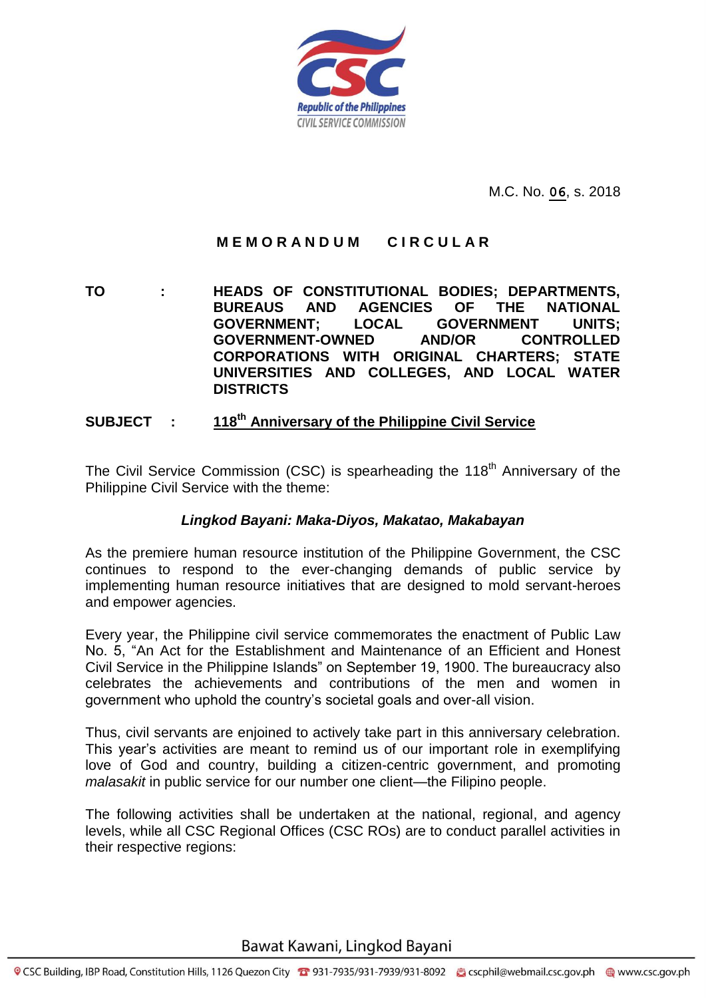

M.C. No. **06**, s. 2018

# **M E M O R A N D U M C I R C U L A R**

**TO : HEADS OF CONSTITUTIONAL BODIES; DEPARTMENTS, BUREAUS AND AGENCIES OF THE NATIONAL GOVERNMENT; LOCAL GOVERNMENT UNITS; GOVERNMENT-OWNED AND/OR CONTROLLED CORPORATIONS WITH ORIGINAL CHARTERS; STATE UNIVERSITIES AND COLLEGES, AND LOCAL WATER DISTRICTS**

#### **SUBJECT : 118 th Anniversary of the Philippine Civil Service**

The Civil Service Commission (CSC) is spearheading the 118<sup>th</sup> Anniversary of the Philippine Civil Service with the theme:

### *Lingkod Bayani: Maka-Diyos, Makatao, Makabayan*

As the premiere human resource institution of the Philippine Government, the CSC continues to respond to the ever-changing demands of public service by implementing human resource initiatives that are designed to mold servant-heroes and empower agencies.

Every year, the Philippine civil service commemorates the enactment of Public Law No. 5, "An Act for the Establishment and Maintenance of an Efficient and Honest Civil Service in the Philippine Islands" on September 19, 1900. The bureaucracy also celebrates the achievements and contributions of the men and women in government who uphold the country's societal goals and over-all vision.

Thus, civil servants are enjoined to actively take part in this anniversary celebration. This year's activities are meant to remind us of our important role in exemplifying love of God and country, building a citizen-centric government, and promoting *malasakit* in public service for our number one client—the Filipino people.

The following activities shall be undertaken at the national, regional, and agency levels, while all CSC Regional Offices (CSC ROs) are to conduct parallel activities in their respective regions: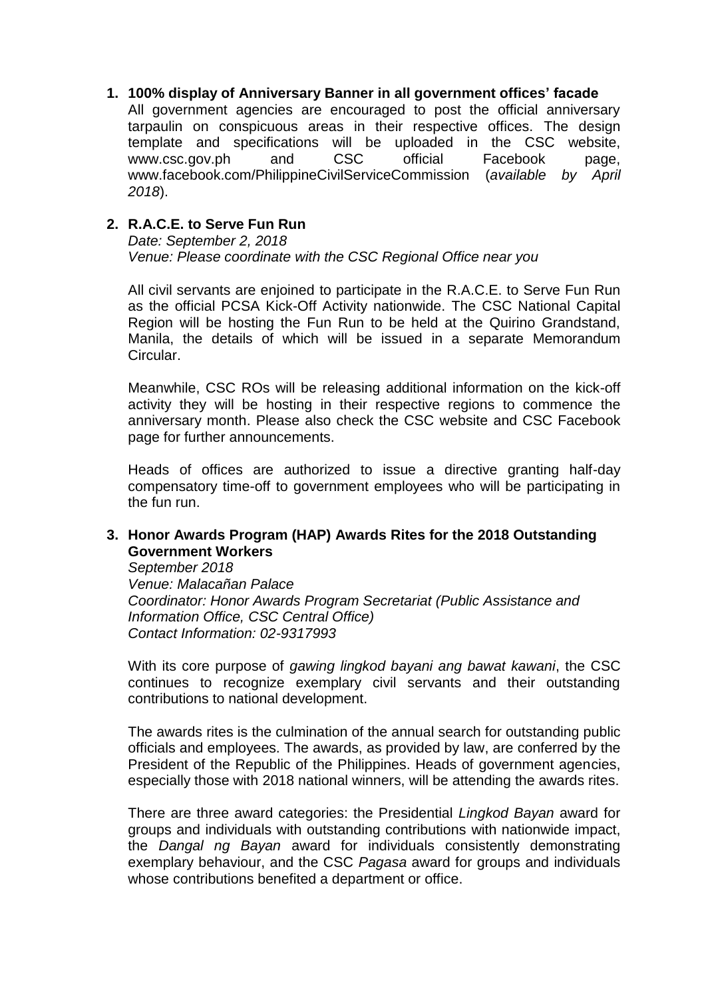**1. 100% display of Anniversary Banner in all government offices' facade** 

All government agencies are encouraged to post the official anniversary tarpaulin on conspicuous areas in their respective offices. The design template and specifications will be uploaded in the CSC website, www.csc.gov.ph and CSC official Facebook page, www.facebook.com/PhilippineCivilServiceCommission (*available by April 2018*).

## **2. R.A.C.E. to Serve Fun Run**

*Date: September 2, 2018 Venue: Please coordinate with the CSC Regional Office near you*

All civil servants are enjoined to participate in the R.A.C.E. to Serve Fun Run as the official PCSA Kick-Off Activity nationwide. The CSC National Capital Region will be hosting the Fun Run to be held at the Quirino Grandstand, Manila, the details of which will be issued in a separate Memorandum Circular.

Meanwhile, CSC ROs will be releasing additional information on the kick-off activity they will be hosting in their respective regions to commence the anniversary month. Please also check the CSC website and CSC Facebook page for further announcements.

Heads of offices are authorized to issue a directive granting half-day compensatory time-off to government employees who will be participating in the fun run.

### **3. Honor Awards Program (HAP) Awards Rites for the 2018 Outstanding Government Workers**

*September 2018 Venue: Malacañan Palace Coordinator: Honor Awards Program Secretariat (Public Assistance and Information Office, CSC Central Office) Contact Information: 02-9317993*

With its core purpose of *gawing lingkod bayani ang bawat kawani*, the CSC continues to recognize exemplary civil servants and their outstanding contributions to national development.

The awards rites is the culmination of the annual search for outstanding public officials and employees. The awards, as provided by law, are conferred by the President of the Republic of the Philippines. Heads of government agencies, especially those with 2018 national winners, will be attending the awards rites.

There are three award categories: the Presidential *Lingkod Bayan* award for groups and individuals with outstanding contributions with nationwide impact, the *Dangal ng Bayan* award for individuals consistently demonstrating exemplary behaviour, and the CSC *Pagasa* award for groups and individuals whose contributions benefited a department or office.